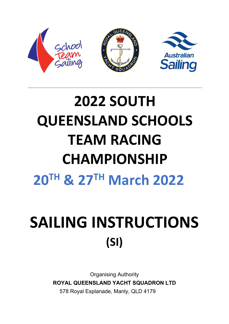

# **2022 SOUTH QUEENSLAND SCHOOLS TEAM RACING CHAMPIONSHIP 20TH & 27TH March 2022**

# SAILING INSTRUCTIONS **(SI)**

Organising Authority **ROYAL QUEENSLAND YACHT SQUADRON LTD** 578 Royal Esplanade, Manly, QLD 4179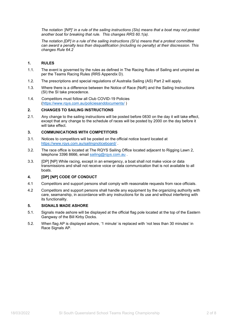*The notation '[NP]' in a rule of the sailing instructions (SIs) means that a boat may not protest another boat for breaking that rule. This changes RRS 60.1(a).* 

*The notation [DP] in a rule of the sailing instructions (SI's) means that a protest committee can award a penalty less than disqualification (including no penalty) at their discression. This changes Rule 64.2*

#### **1. RULES**

- 1.1. The event is governed by the rules as defined in The Racing Rules of Sailing and umpired as per the Teams Racing Rules (RRS Appendix D).
- 1.2. The prescriptions and special regulations of Australia Sailing (AS) Part 2 will apply.
- 1.3. Where there is a difference between the Notice of Race (NoR) and the Sailing Instructions (SI) the SI take precedence.
- 1.4. Competitors must follow all Club COVID-19 Policies [\(https://www.rqys.com.au/policiesanddocuments/](https://www.rqys.com.au/policiesanddocuments/) )

## **2. CHANGES TO SAILING INSTRUCTIONS**

2.1. Any change to the sailing instructions will be posted before 0830 on the day it will take effect, except that any change to the schedule of races will be posted by 2000 on the day before it will take effect.

#### **3. COMMUNICATIONS WITH COMPETITORS**

- 3.1. Notices to competitors will be posted on the official notice board located at <https://www.rqys.com.au/sailingnoticeboard/> .
- 3.2. The race office is located at The RQYS Sailing Office located adjacent to Rigging Lawn 2, telephone 3396 8666, email [sailing@rqys.com.au](mailto:sailing@rqys.com.au).
- 3.3. [DP] [NP] While racing, except in an emergency, a boat shall not make voice or data transmissions and shall not receive voice or data communication that is not available to all boats.

#### **4. [DP] [NP] CODE OF CONDUCT**

- 4.1 Competitors and support persons shall comply with reasonable requests from race officials.
- 4.2 Competitors and support persons shall handle any equipment by the organizing authority with care, seamanship, in accordance with any instructions for its use and without interfering with its functionality.

#### **5. SIGNALS MADE ASHORE**

- 5.1. Signals made ashore will be displayed at the official flag pole located at the top of the Eastern Gangway of the Bill Kirby Docks.
- 5.2. When flag AP is displayed ashore, '1 minute' is replaced with 'not less than 30 minutes' in Race Signals AP.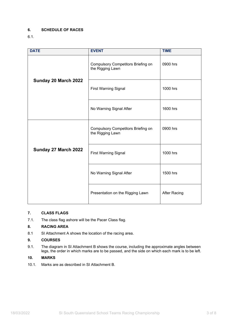## **6. SCHEDULE OF RACES**

## 6.1.

| <b>DATE</b>          | <b>EVENT</b>                                                  | <b>TIME</b>         |
|----------------------|---------------------------------------------------------------|---------------------|
| Sunday 20 March 2022 | <b>Compulsory Competitors Briefing on</b><br>the Rigging Lawn | 0900 hrs            |
|                      | <b>First Warning Signal</b>                                   | 1000 hrs            |
|                      | No Warning Signal After                                       | 1600 hrs            |
|                      | <b>Compulsory Competitors Briefing on</b><br>the Rigging Lawn | 0900 hrs            |
| Sunday 27 March 2022 | <b>First Warning Signal</b>                                   | 1000 hrs            |
|                      | No Warning Signal After                                       | 1500 hrs            |
|                      | Presentation on the Rigging Lawn                              | <b>After Racing</b> |

## **7. CLASS FLAGS**

7.1. The class flag ashore will be the Pacer Class flag.

## **8. RACING AREA**

8.1 SI Attachment A shows the location of the racing area.

#### **9. COURSES**

9.1. The diagram in SI Attachment B shows the course, including the approximate angles between legs, the order in which marks are to be passed, and the side on which each mark is to be left.

## **10. MARKS**

10.1. Marks are as described in SI Attachment B.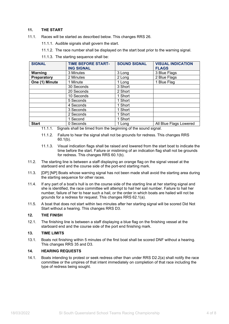#### **11. THE START**

- 11.1. Races will be started as described below. This changes RRS 26.
	- 11.1.1. Audible signals shall govern the start.
	- 11.1.2. The race number shall be displayed on the start boat prior to the warning signal.
	- 11.1.3. The starting sequence shall be:

| <b>SIGNAL</b>  | <b>TIME BEFORE START-</b><br><b>ING SIGNAL</b> | <b>SOUND SIGNAL</b> | <b>VISUAL INDICATION</b><br><b>FLAGS</b> |
|----------------|------------------------------------------------|---------------------|------------------------------------------|
| Warning        | 3 Minutes                                      | 3 Long              | 3 Blue Flags                             |
| Preparatory    | 2 Minutes                                      | 2 Long              | 2 Blue Flags                             |
| One (1) Minute | 1 Minute                                       | 1 Long              | 1 Blue Flag                              |
|                | 30 Seconds                                     | 3 Short             |                                          |
|                | 20 Seconds                                     | 2 Short             |                                          |
|                | 10 Seconds                                     | 1 Short             |                                          |
|                | 5 Seconds                                      | 1 Short             |                                          |
|                | 4 Seconds                                      | 1 Short             |                                          |
|                | 3 Seconds                                      | 1 Short             |                                          |
|                | 2 Seconds                                      | 1 Short             |                                          |
|                | 1 Second                                       | 1 Short             |                                          |
| <b>Start</b>   | 0 Seconds                                      | 1 Long              | All Blue Flags Lowered                   |

- 11.1.1. Signals shall be timed from the beginning of the sound signal.
- 11.1.2. Failure to hear the signal shall not be grounds for redress. This changes RRS 60.1(b).
- 11.1.3. Visual indication flags shall be raised and lowered from the start boat to indicate the time before the start. Failure or mistiming of an indication flag shall not be grounds for redress. This changes RRS 60.1(b).
- 11.2. The starting line is between a staff displaying an orange flag on the signal vessel at the starboard end and the course side of the port-end starting mark.
- 11.3. [DP] [NP] Boats whose warning signal has not been made shall avoid the starting area during the starting sequence for other races.
- 11.4. If any part of a boat's hull is on the course side of the starting line at her starting signal and she is identified, the race committee will attempt to hail her sail number. Failure to hail her number, failure of her to hear such a hail, or the order in which boats are hailed will not be grounds for a redress for request. This changes RRS 62.1(a).
- 11.5. A boat that does not start within two minutes after her starting signal will be scored Did Not Start without a hearing. This changes RRS D3.

#### **12. THE FINISH**

12.1. The finishing line is between a staff displaying a blue flag on the finishing vessel at the starboard end and the course side of the port end finishing mark.

#### **13. TIME LIMITS**

13.1. Boats not finishing within 5 minutes of the first boat shall be scored DNF without a hearing. This changes RRS 35 and D3.

#### **14. HEARING REQUESTS**

14.1. Boats intending to protest or seek redress other than under RRS D2.2(a) shall notify the race committee or the umpires of that intent immediately on completion of that race including the type of redress being sought.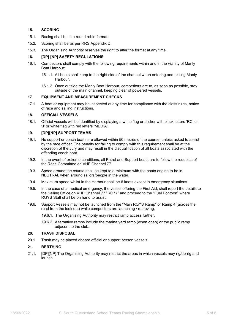#### **15. SCORING**

- 15.1. Racing shall be in a round robin format.
- 15.2. Scoring shall be as per RRS Appendix D.
- 15.3. The Organising Authority reserves the right to alter the format at any time.

#### **16. [DP] [NP] SAFETY REGULATIONS**

- 16.1. Competitors shall comply with the following requirements within and in the vicinity of Manly Boat Harbour:
	- 16.1.1. All boats shall keep to the right side of the channel when entering and exiting Manly Harbour.
	- 16.1.2. Once outside the Manly Boat Harbour, competitors are to, as soon as possible, stay outside of the main channel, keeping clear of powered vessels.

#### **17. EQUIPMENT AND MEASUREMENT CHECKS**

17.1. A boat or equipment may be inspected at any time for compliance with the class rules, notice of race and sailing instructions.

## **18. OFFICIAL VESSELS**

18.1. Official vessels will be identified by displaying a white flag or sticker with black letters 'RC' or 'J' or white flag with red letters 'MEDIA'.

#### **19. [DP][NP] SUPPORT TEAMS**

- 19.1. No support or coach boats are allowed within 50 metres of the course, unless asked to assist by the race officer. The penalty for failing to comply with this requirement shall be at the discretion of the Jury and may result in the disqualification of all boats associated with the offending coach boat.
- 19.2. In the event of extreme conditions, all Patrol and Support boats are to follow the requests of the Race Committee on VHF Channel 77.
- 19.3. Speed around the course shall be kept to a minimum with the boats engine to be in NEUTRAL when around sailors/people in the water.
- 19.4. Maximum speed whilst in the Harbour shall be 6 knots except in emergency situations.
- 19.5. In the case of a medical emergency, the vessel offering the First Aid, shall report the details to the Sailing Office on VHF Channel 77 "RQ77" and proceed to the "Fuel Pontoon" where RQYS Staff shall be on hand to assist.
- 19.6. Support Vessels may not be launched from the "Main RQYS Ramp" or Ramp 4 (across the road from the look out) while competitors are launching / retrieving.
	- 19.6.1. The Organising Authority may restrict ramp access further.
	- 19.6.2. Alternative ramps include the marina yard ramp (when open) or the public ramp adjacent to the club.

#### **20. TRASH DISPOSAL**

20.1. Trash may be placed aboard official or support person vessels.

#### **21. BERTHING**

21.1. [DP][NP] The Organising Authority may restrict the areas in which vessels may rig/de-rig and launch.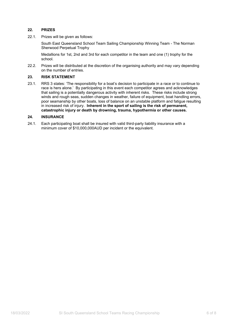## **22. PRIZES**

22.1. Prizes will be given as follows:

South East Queensland School Team Sailing Championship Winning Team - The Norman Sherwood Perpetual Trophy

Medallions for 1st, 2nd and 3rd for each competitor in the team and one (1) trophy for the school.

22.2. Prizes will be distributed at the discretion of the organising authority and may vary depending on the number of entries.

#### **23. RISK STATEMENT**

23.1. RRS 3 states: 'The responsibility for a boat's decision to participate in a race or to continue to race is hers alone.' By participating in this event each competitor agrees and acknowledges that sailing is a potentially dangerous activity with inherent risks. These risks include strong winds and rough seas, sudden changes in weather, failure of equipment, boat handling errors, poor seamanship by other boats, loss of balance on an unstable platform and fatigue resulting in increased risk of injury. **Inherent in the sport of sailing is the risk of permanent, catastrophic injury or death by drowning, trauma, hypothermia or other causes.**

#### **24. INSURANCE**

24.1. Each participating boat shall be insured with valid third-party liability insurance with a minimum cover of \$10,000,000AUD per incident or the equivalent.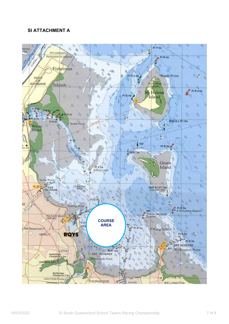## **SI ATTACHMENT A**